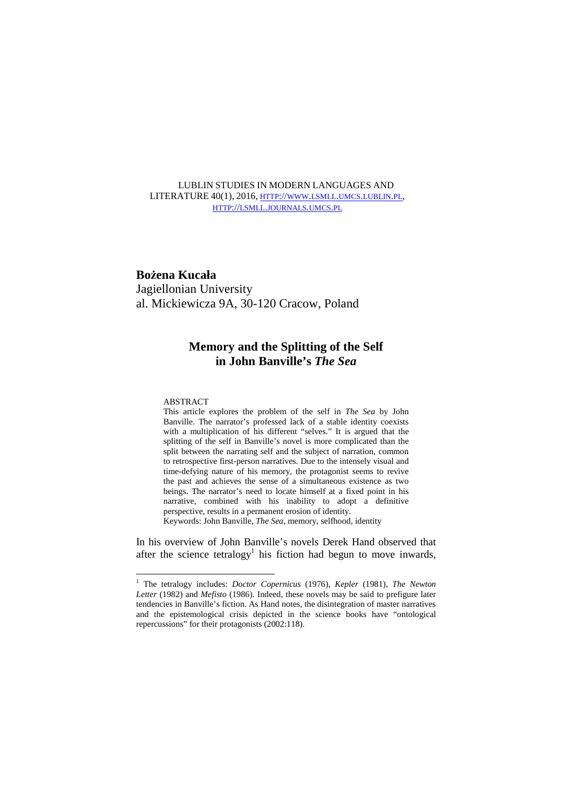# LUBLIN STUDIES IN MODERN LANGUAGES AND LITERATURE 40(1), 2016, HTTP://WWW.LSMLL.UMCS.LUBLIN.PL, HTTP://LSMLL.JOURNALS.UMCS.PL

# **Bożena Kucała**

Jagiellonian University al. Mickiewicza 9A, 30-120 Cracow, Poland

# **Memory and the Splitting of the Self in John Banville's** *The Sea*

## ABSTRACT

1

This article explores the problem of the self in *The Sea* by John Banville. The narrator's professed lack of a stable identity coexists with a multiplication of his different "selves." It is argued that the splitting of the self in Banville's novel is more complicated than the split between the narrating self and the subject of narration, common to retrospective first-person narratives. Due to the intensely visual and time-defying nature of his memory, the protagonist seems to revive the past and achieves the sense of a simultaneous existence as two beings. The narrator's need to locate himself at a fixed point in his narrative, combined with his inability to adopt a definitive perspective, results in a permanent erosion of identity.

Keywords: John Banville, *The Sea*, memory, selfhood, identity

In his overview of John Banville's novels Derek Hand observed that after the science tetralogy<sup>1</sup> his fiction had begun to move inwards,

<sup>&</sup>lt;sup>1</sup> The tetralogy includes: *Doctor Copernicus* (1976), *Kepler* (1981), *The Newton Letter* (1982) and *Mefisto* (1986). Indeed, these novels may be said to prefigure later tendencies in Banville's fiction. As Hand notes, the disintegration of master narratives and the epistemological crisis depicted in the science books have "ontological repercussions" for their protagonists (2002:118).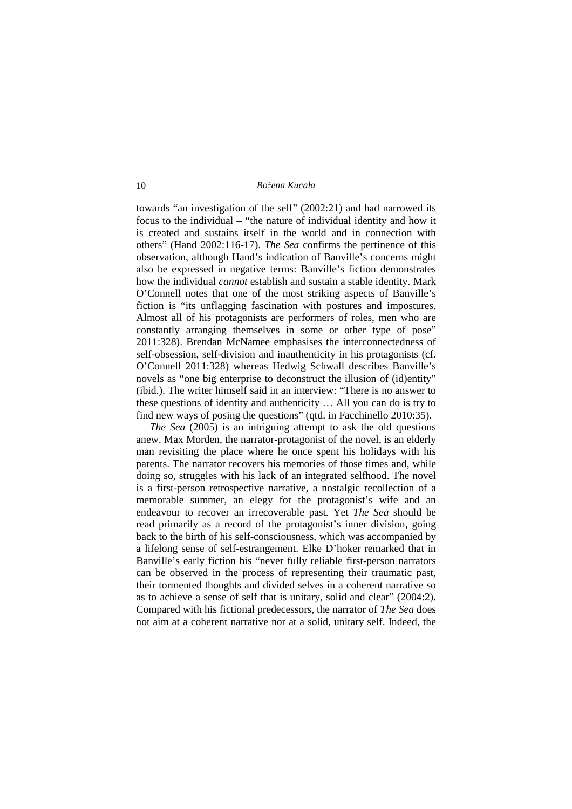towards "an investigation of the self" (2002:21) and had narrowed its focus to the individual – "the nature of individual identity and how it is created and sustains itself in the world and in connection with others" (Hand 2002:116-17). *The Sea* confirms the pertinence of this observation, although Hand's indication of Banville's concerns might also be expressed in negative terms: Banville's fiction demonstrates how the individual *cannot* establish and sustain a stable identity. Mark O'Connell notes that one of the most striking aspects of Banville's fiction is "its unflagging fascination with postures and impostures. Almost all of his protagonists are performers of roles, men who are constantly arranging themselves in some or other type of pose" 2011:328). Brendan McNamee emphasises the interconnectedness of self-obsession, self-division and inauthenticity in his protagonists (cf. O'Connell 2011:328) whereas Hedwig Schwall describes Banville's novels as "one big enterprise to deconstruct the illusion of (id)entity" (ibid.). The writer himself said in an interview: "There is no answer to these questions of identity and authenticity … All you can do is try to find new ways of posing the questions" (qtd. in Facchinello 2010:35).

 *The Sea* (2005) is an intriguing attempt to ask the old questions anew. Max Morden, the narrator-protagonist of the novel, is an elderly man revisiting the place where he once spent his holidays with his parents. The narrator recovers his memories of those times and, while doing so, struggles with his lack of an integrated selfhood. The novel is a first-person retrospective narrative, a nostalgic recollection of a memorable summer, an elegy for the protagonist's wife and an endeavour to recover an irrecoverable past. Yet *The Sea* should be read primarily as a record of the protagonist's inner division, going back to the birth of his self-consciousness, which was accompanied by a lifelong sense of self-estrangement. Elke D'hoker remarked that in Banville's early fiction his "never fully reliable first-person narrators can be observed in the process of representing their traumatic past, their tormented thoughts and divided selves in a coherent narrative so as to achieve a sense of self that is unitary, solid and clear" (2004:2). Compared with his fictional predecessors, the narrator of *The Sea* does not aim at a coherent narrative nor at a solid, unitary self. Indeed, the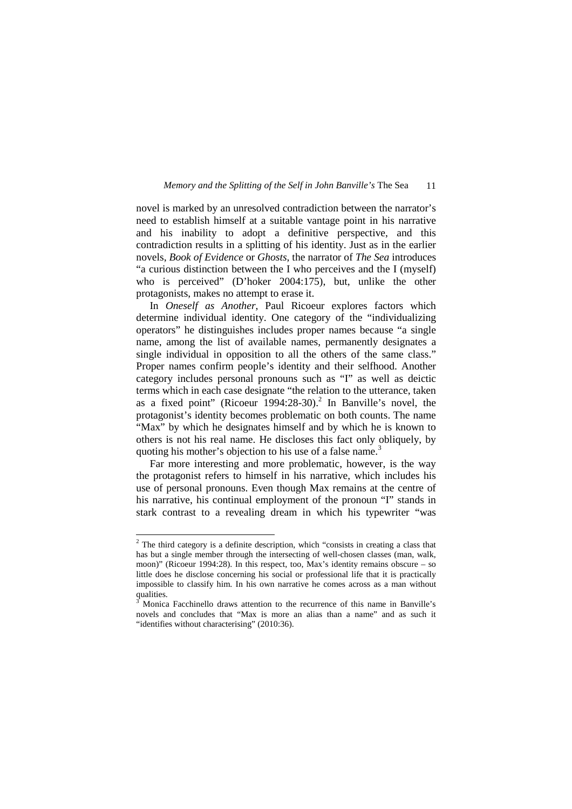novel is marked by an unresolved contradiction between the narrator's need to establish himself at a suitable vantage point in his narrative and his inability to adopt a definitive perspective, and this contradiction results in a splitting of his identity. Just as in the earlier novels, *Book of Evidence* or *Ghosts*, the narrator of *The Sea* introduces "a curious distinction between the I who perceives and the I (myself) who is perceived" (D'hoker 2004:175), but, unlike the other protagonists, makes no attempt to erase it.

 In *Oneself as Another*, Paul Ricoeur explores factors which determine individual identity. One category of the "individualizing operators" he distinguishes includes proper names because "a single name, among the list of available names, permanently designates a single individual in opposition to all the others of the same class." Proper names confirm people's identity and their selfhood. Another category includes personal pronouns such as "I" as well as deictic terms which in each case designate "the relation to the utterance, taken as a fixed point" (Ricoeur 1994:28-30).<sup>2</sup> In Banville's novel, the protagonist's identity becomes problematic on both counts. The name "Max" by which he designates himself and by which he is known to others is not his real name. He discloses this fact only obliquely, by quoting his mother's objection to his use of a false name.<sup>3</sup>

 Far more interesting and more problematic, however, is the way the protagonist refers to himself in his narrative, which includes his use of personal pronouns. Even though Max remains at the centre of his narrative, his continual employment of the pronoun "I" stands in stark contrast to a revealing dream in which his typewriter "was

The third category is a definite description, which "consists in creating a class that has but a single member through the intersecting of well-chosen classes (man, walk, moon)" (Ricoeur 1994:28). In this respect, too, Max's identity remains obscure – so little does he disclose concerning his social or professional life that it is practically impossible to classify him. In his own narrative he comes across as a man without qualities.

<sup>3</sup> Monica Facchinello draws attention to the recurrence of this name in Banville's novels and concludes that "Max is more an alias than a name" and as such it "identifies without characterising" (2010:36).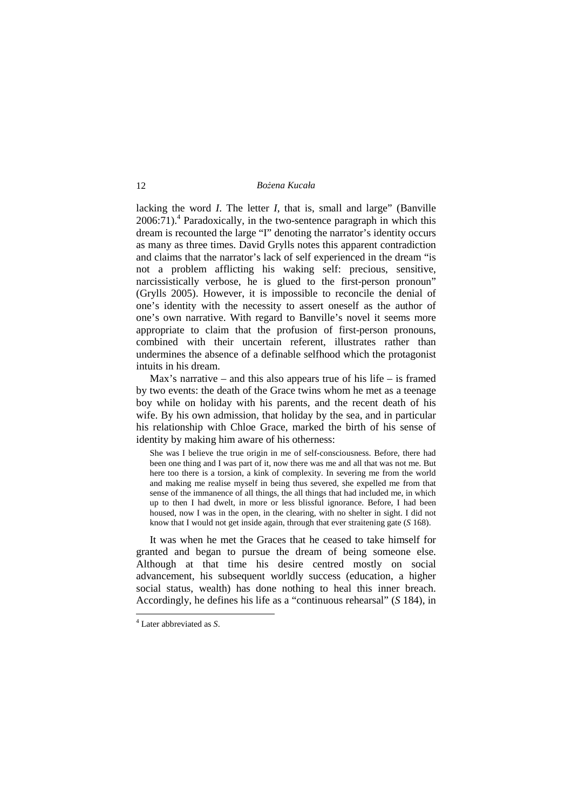lacking the word *I*. The letter *I*, that is, small and large" (Banville  $2006:71$ ).<sup>4</sup> Paradoxically, in the two-sentence paragraph in which this dream is recounted the large "I" denoting the narrator's identity occurs as many as three times. David Grylls notes this apparent contradiction and claims that the narrator's lack of self experienced in the dream "is not a problem afflicting his waking self: precious, sensitive, narcissistically verbose, he is glued to the first-person pronoun" (Grylls 2005). However, it is impossible to reconcile the denial of one's identity with the necessity to assert oneself as the author of one's own narrative. With regard to Banville's novel it seems more appropriate to claim that the profusion of first-person pronouns, combined with their uncertain referent, illustrates rather than undermines the absence of a definable selfhood which the protagonist intuits in his dream.

Max's narrative – and this also appears true of his life – is framed by two events: the death of the Grace twins whom he met as a teenage boy while on holiday with his parents, and the recent death of his wife. By his own admission, that holiday by the sea, and in particular his relationship with Chloe Grace, marked the birth of his sense of identity by making him aware of his otherness:

She was I believe the true origin in me of self-consciousness. Before, there had been one thing and I was part of it, now there was me and all that was not me. But here too there is a torsion, a kink of complexity. In severing me from the world and making me realise myself in being thus severed, she expelled me from that sense of the immanence of all things, the all things that had included me, in which up to then I had dwelt, in more or less blissful ignorance. Before, I had been housed, now I was in the open, in the clearing, with no shelter in sight. I did not know that I would not get inside again, through that ever straitening gate (*S* 168).

It was when he met the Graces that he ceased to take himself for granted and began to pursue the dream of being someone else. Although at that time his desire centred mostly on social advancement, his subsequent worldly success (education, a higher social status, wealth) has done nothing to heal this inner breach. Accordingly, he defines his life as a "continuous rehearsal" (*S* 184), in

-

<sup>4</sup> Later abbreviated as *S*.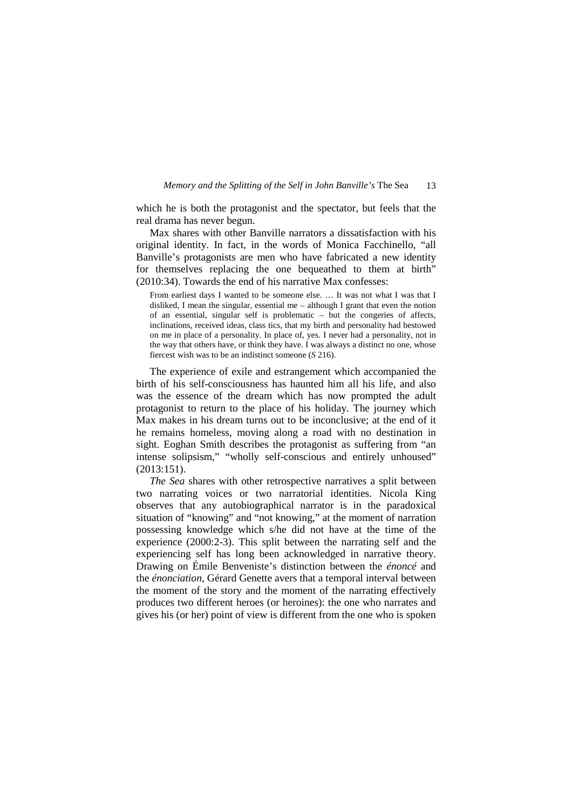which he is both the protagonist and the spectator, but feels that the real drama has never begun.

 Max shares with other Banville narrators a dissatisfaction with his original identity. In fact, in the words of Monica Facchinello, "all Banville's protagonists are men who have fabricated a new identity for themselves replacing the one bequeathed to them at birth" (2010:34). Towards the end of his narrative Max confesses:

From earliest days I wanted to be someone else. … It was not what I was that I disliked, I mean the singular, essential me – although I grant that even the notion of an essential, singular self is problematic – but the congeries of affects, inclinations, received ideas, class tics, that my birth and personality had bestowed on me in place of a personality. In place of, yes. I never had a personality, not in the way that others have, or think they have. I was always a distinct no one, whose fiercest wish was to be an indistinct someone (*S* 216).

 The experience of exile and estrangement which accompanied the birth of his self-consciousness has haunted him all his life, and also was the essence of the dream which has now prompted the adult protagonist to return to the place of his holiday. The journey which Max makes in his dream turns out to be inconclusive; at the end of it he remains homeless, moving along a road with no destination in sight. Eoghan Smith describes the protagonist as suffering from "an intense solipsism," "wholly self-conscious and entirely unhoused" (2013:151).

 *The Sea* shares with other retrospective narratives a split between two narrating voices or two narratorial identities. Nicola King observes that any autobiographical narrator is in the paradoxical situation of "knowing" and "not knowing," at the moment of narration possessing knowledge which s/he did not have at the time of the experience (2000:2-3). This split between the narrating self and the experiencing self has long been acknowledged in narrative theory. Drawing on Émile Benveniste's distinction between the *énoncé* and the *énonciation*, Gérard Genette avers that a temporal interval between the moment of the story and the moment of the narrating effectively produces two different heroes (or heroines): the one who narrates and gives his (or her) point of view is different from the one who is spoken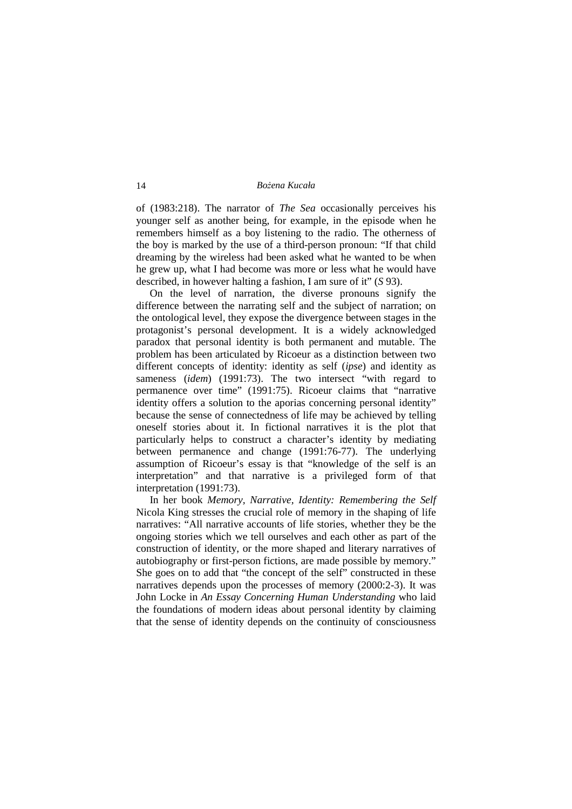of (1983:218). The narrator of *The Sea* occasionally perceives his younger self as another being, for example, in the episode when he remembers himself as a boy listening to the radio. The otherness of the boy is marked by the use of a third-person pronoun: "If that child dreaming by the wireless had been asked what he wanted to be when he grew up, what I had become was more or less what he would have described, in however halting a fashion, I am sure of it" (*S* 93).

 On the level of narration, the diverse pronouns signify the difference between the narrating self and the subject of narration; on the ontological level, they expose the divergence between stages in the protagonist's personal development. It is a widely acknowledged paradox that personal identity is both permanent and mutable. The problem has been articulated by Ricoeur as a distinction between two different concepts of identity: identity as self (*ipse*) and identity as sameness (*idem*) (1991:73). The two intersect "with regard to permanence over time" (1991:75). Ricoeur claims that "narrative identity offers a solution to the aporias concerning personal identity" because the sense of connectedness of life may be achieved by telling oneself stories about it. In fictional narratives it is the plot that particularly helps to construct a character's identity by mediating between permanence and change (1991:76-77). The underlying assumption of Ricoeur's essay is that "knowledge of the self is an interpretation" and that narrative is a privileged form of that interpretation (1991:73).

 In her book *Memory, Narrative, Identity: Remembering the Self* Nicola King stresses the crucial role of memory in the shaping of life narratives: "All narrative accounts of life stories, whether they be the ongoing stories which we tell ourselves and each other as part of the construction of identity, or the more shaped and literary narratives of autobiography or first-person fictions, are made possible by memory." She goes on to add that "the concept of the self" constructed in these narratives depends upon the processes of memory (2000:2-3). It was John Locke in *An Essay Concerning Human Understanding* who laid the foundations of modern ideas about personal identity by claiming that the sense of identity depends on the continuity of consciousness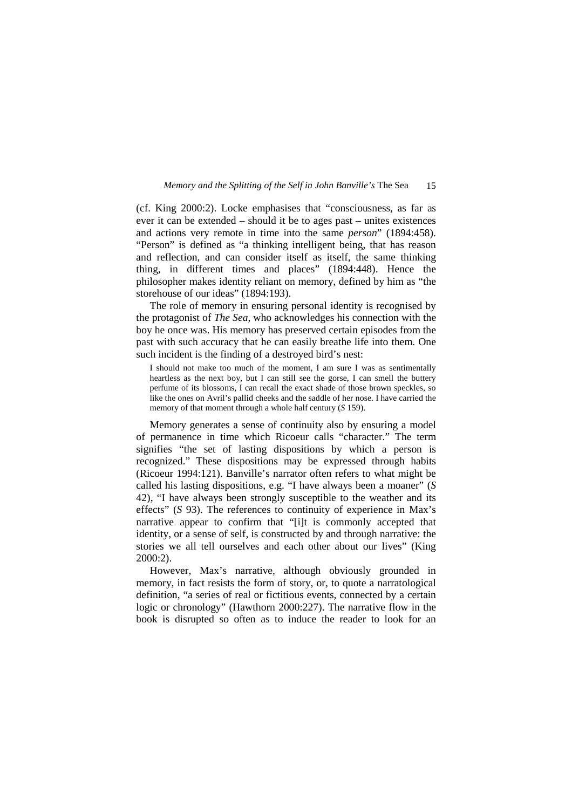(cf. King 2000:2). Locke emphasises that "consciousness, as far as ever it can be extended – should it be to ages past – unites existences and actions very remote in time into the same *person*" (1894:458). "Person" is defined as "a thinking intelligent being, that has reason and reflection, and can consider itself as itself, the same thinking thing, in different times and places" (1894:448). Hence the philosopher makes identity reliant on memory, defined by him as "the storehouse of our ideas" (1894:193).

 The role of memory in ensuring personal identity is recognised by the protagonist of *The Sea*, who acknowledges his connection with the boy he once was. His memory has preserved certain episodes from the past with such accuracy that he can easily breathe life into them. One such incident is the finding of a destroyed bird's nest:

I should not make too much of the moment, I am sure I was as sentimentally heartless as the next boy, but I can still see the gorse, I can smell the buttery perfume of its blossoms, I can recall the exact shade of those brown speckles, so like the ones on Avril's pallid cheeks and the saddle of her nose. I have carried the memory of that moment through a whole half century (*S* 159).

 Memory generates a sense of continuity also by ensuring a model of permanence in time which Ricoeur calls "character." The term signifies "the set of lasting dispositions by which a person is recognized." These dispositions may be expressed through habits (Ricoeur 1994:121). Banville's narrator often refers to what might be called his lasting dispositions, e.g. "I have always been a moaner" (*S* 42), "I have always been strongly susceptible to the weather and its effects" (*S* 93). The references to continuity of experience in Max's narrative appear to confirm that "[i]t is commonly accepted that identity, or a sense of self, is constructed by and through narrative: the stories we all tell ourselves and each other about our lives" (King 2000:2).

 However, Max's narrative, although obviously grounded in memory, in fact resists the form of story, or, to quote a narratological definition, "a series of real or fictitious events, connected by a certain logic or chronology" (Hawthorn 2000:227). The narrative flow in the book is disrupted so often as to induce the reader to look for an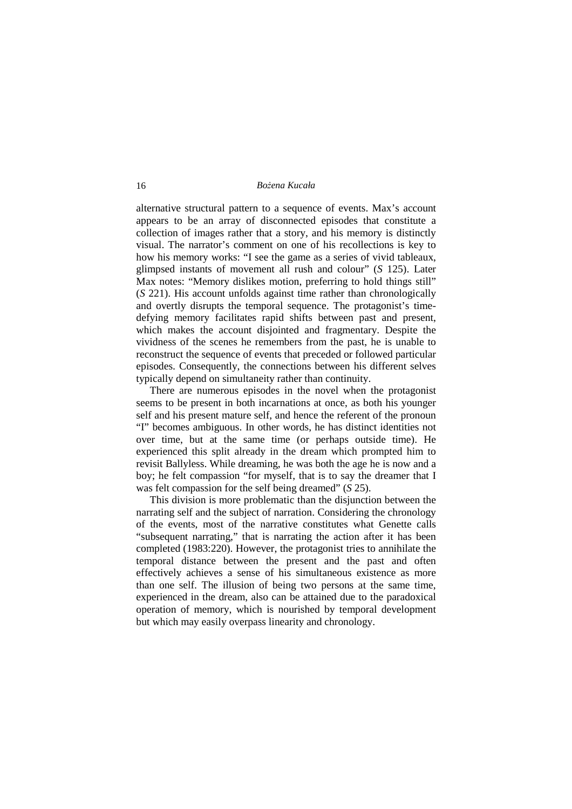alternative structural pattern to a sequence of events. Max's account appears to be an array of disconnected episodes that constitute a collection of images rather that a story, and his memory is distinctly visual. The narrator's comment on one of his recollections is key to how his memory works: "I see the game as a series of vivid tableaux, glimpsed instants of movement all rush and colour" (*S* 125). Later Max notes: "Memory dislikes motion, preferring to hold things still" (*S* 221). His account unfolds against time rather than chronologically and overtly disrupts the temporal sequence. The protagonist's timedefying memory facilitates rapid shifts between past and present, which makes the account disjointed and fragmentary. Despite the vividness of the scenes he remembers from the past, he is unable to reconstruct the sequence of events that preceded or followed particular episodes. Consequently, the connections between his different selves typically depend on simultaneity rather than continuity.

 There are numerous episodes in the novel when the protagonist seems to be present in both incarnations at once, as both his younger self and his present mature self, and hence the referent of the pronoun "I" becomes ambiguous. In other words, he has distinct identities not over time, but at the same time (or perhaps outside time). He experienced this split already in the dream which prompted him to revisit Ballyless. While dreaming, he was both the age he is now and a boy; he felt compassion "for myself, that is to say the dreamer that I was felt compassion for the self being dreamed" (*S* 25).

 This division is more problematic than the disjunction between the narrating self and the subject of narration. Considering the chronology of the events, most of the narrative constitutes what Genette calls "subsequent narrating," that is narrating the action after it has been completed (1983:220). However, the protagonist tries to annihilate the temporal distance between the present and the past and often effectively achieves a sense of his simultaneous existence as more than one self. The illusion of being two persons at the same time, experienced in the dream, also can be attained due to the paradoxical operation of memory, which is nourished by temporal development but which may easily overpass linearity and chronology.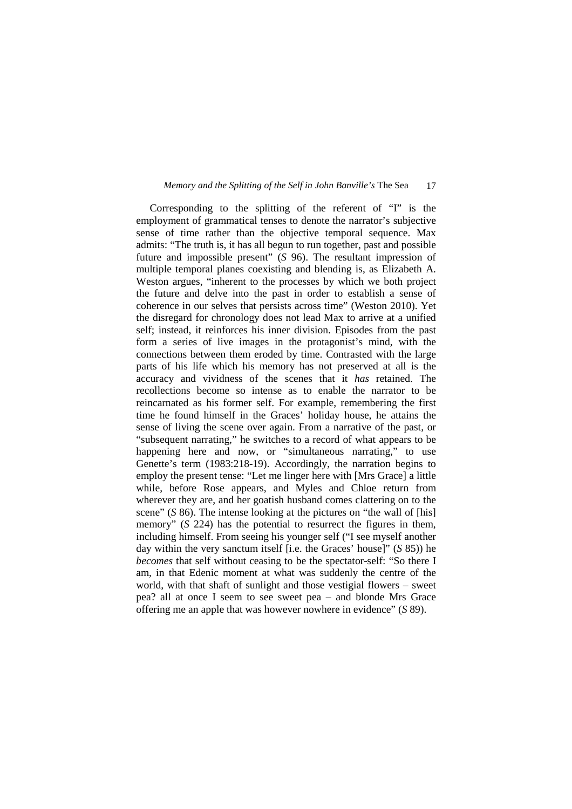Corresponding to the splitting of the referent of "I" is the employment of grammatical tenses to denote the narrator's subjective sense of time rather than the objective temporal sequence. Max admits: "The truth is, it has all begun to run together, past and possible future and impossible present" (*S* 96). The resultant impression of multiple temporal planes coexisting and blending is, as Elizabeth A. Weston argues, "inherent to the processes by which we both project the future and delve into the past in order to establish a sense of coherence in our selves that persists across time" (Weston 2010). Yet the disregard for chronology does not lead Max to arrive at a unified self; instead, it reinforces his inner division. Episodes from the past form a series of live images in the protagonist's mind, with the connections between them eroded by time. Contrasted with the large parts of his life which his memory has not preserved at all is the accuracy and vividness of the scenes that it *has* retained. The recollections become so intense as to enable the narrator to be reincarnated as his former self. For example, remembering the first time he found himself in the Graces' holiday house, he attains the sense of living the scene over again. From a narrative of the past, or "subsequent narrating," he switches to a record of what appears to be happening here and now, or "simultaneous narrating," to use Genette's term (1983:218-19). Accordingly, the narration begins to employ the present tense: "Let me linger here with [Mrs Grace] a little while, before Rose appears, and Myles and Chloe return from wherever they are, and her goatish husband comes clattering on to the scene" (*S* 86). The intense looking at the pictures on "the wall of [his] memory" (*S* 224) has the potential to resurrect the figures in them, including himself. From seeing his younger self ("I see myself another day within the very sanctum itself [i.e. the Graces' house]" (*S* 85)) he *becomes* that self without ceasing to be the spectator-self: "So there I am, in that Edenic moment at what was suddenly the centre of the world, with that shaft of sunlight and those vestigial flowers – sweet pea? all at once I seem to see sweet pea – and blonde Mrs Grace offering me an apple that was however nowhere in evidence" (*S* 89).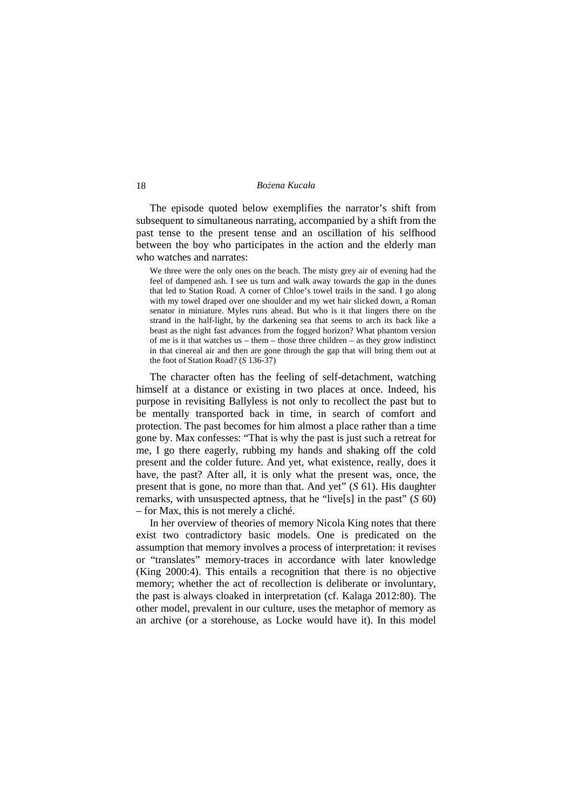The episode quoted below exemplifies the narrator's shift from subsequent to simultaneous narrating, accompanied by a shift from the past tense to the present tense and an oscillation of his selfhood between the boy who participates in the action and the elderly man who watches and narrates:

We three were the only ones on the beach. The misty grey air of evening had the feel of dampened ash. I see us turn and walk away towards the gap in the dunes that led to Station Road. A corner of Chloe's towel trails in the sand. I go along with my towel draped over one shoulder and my wet hair slicked down, a Roman senator in miniature. Myles runs ahead. But who is it that lingers there on the strand in the half-light, by the darkening sea that seems to arch its back like a beast as the night fast advances from the fogged horizon? What phantom version of me is it that watches us – them – those three children – as they grow indistinct in that cinereal air and then are gone through the gap that will bring them out at the foot of Station Road? (*S* 136-37)

 The character often has the feeling of self-detachment, watching himself at a distance or existing in two places at once. Indeed, his purpose in revisiting Ballyless is not only to recollect the past but to be mentally transported back in time, in search of comfort and protection. The past becomes for him almost a place rather than a time gone by. Max confesses: "That is why the past is just such a retreat for me, I go there eagerly, rubbing my hands and shaking off the cold present and the colder future. And yet, what existence, really, does it have, the past? After all, it is only what the present was, once, the present that is gone, no more than that. And yet" (*S* 61). His daughter remarks, with unsuspected aptness, that he "live[s] in the past" (*S* 60) – for Max, this is not merely a cliché.

 In her overview of theories of memory Nicola King notes that there exist two contradictory basic models. One is predicated on the assumption that memory involves a process of interpretation: it revises or "translates" memory-traces in accordance with later knowledge (King 2000:4). This entails a recognition that there is no objective memory; whether the act of recollection is deliberate or involuntary, the past is always cloaked in interpretation (cf. Kalaga 2012:80). The other model, prevalent in our culture, uses the metaphor of memory as an archive (or a storehouse, as Locke would have it). In this model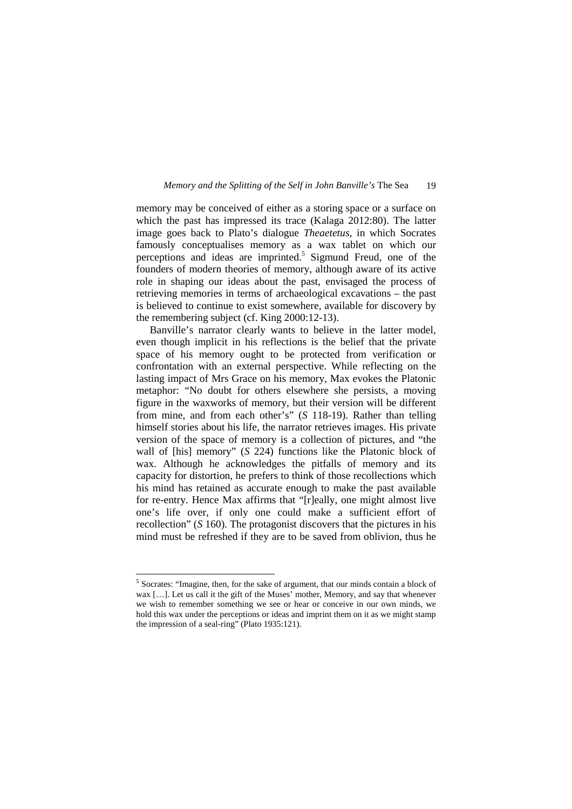memory may be conceived of either as a storing space or a surface on which the past has impressed its trace (Kalaga 2012:80). The latter image goes back to Plato's dialogue *Theaetetus*, in which Socrates famously conceptualises memory as a wax tablet on which our perceptions and ideas are imprinted.<sup>5</sup> Sigmund Freud, one of the founders of modern theories of memory, although aware of its active role in shaping our ideas about the past, envisaged the process of retrieving memories in terms of archaeological excavations – the past is believed to continue to exist somewhere, available for discovery by the remembering subject (cf. King 2000:12-13).

 Banville's narrator clearly wants to believe in the latter model, even though implicit in his reflections is the belief that the private space of his memory ought to be protected from verification or confrontation with an external perspective. While reflecting on the lasting impact of Mrs Grace on his memory, Max evokes the Platonic metaphor: "No doubt for others elsewhere she persists, a moving figure in the waxworks of memory, but their version will be different from mine, and from each other's" (*S* 118-19). Rather than telling himself stories about his life, the narrator retrieves images. His private version of the space of memory is a collection of pictures, and "the wall of [his] memory" (*S* 224) functions like the Platonic block of wax. Although he acknowledges the pitfalls of memory and its capacity for distortion, he prefers to think of those recollections which his mind has retained as accurate enough to make the past available for re-entry. Hence Max affirms that "[r]eally, one might almost live one's life over, if only one could make a sufficient effort of recollection" (*S* 160). The protagonist discovers that the pictures in his mind must be refreshed if they are to be saved from oblivion, thus he

1

<sup>&</sup>lt;sup>5</sup> Socrates: "Imagine, then, for the sake of argument, that our minds contain a block of wax […]. Let us call it the gift of the Muses' mother, Memory, and say that whenever we wish to remember something we see or hear or conceive in our own minds, we hold this wax under the perceptions or ideas and imprint them on it as we might stamp the impression of a seal-ring" (Plato 1935:121).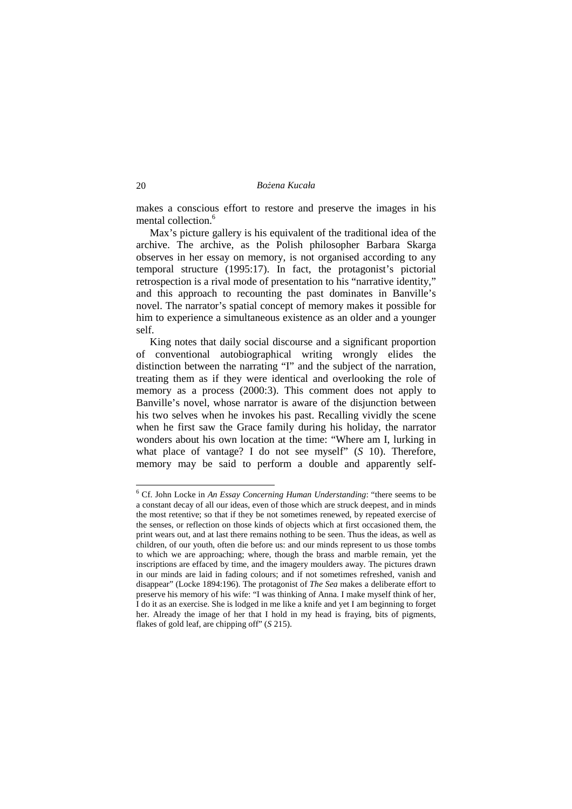makes a conscious effort to restore and preserve the images in his mental collection.<sup>6</sup>

 Max's picture gallery is his equivalent of the traditional idea of the archive. The archive, as the Polish philosopher Barbara Skarga observes in her essay on memory, is not organised according to any temporal structure (1995:17). In fact, the protagonist's pictorial retrospection is a rival mode of presentation to his "narrative identity," and this approach to recounting the past dominates in Banville's novel. The narrator's spatial concept of memory makes it possible for him to experience a simultaneous existence as an older and a younger self.

 King notes that daily social discourse and a significant proportion of conventional autobiographical writing wrongly elides the distinction between the narrating "I" and the subject of the narration, treating them as if they were identical and overlooking the role of memory as a process (2000:3). This comment does not apply to Banville's novel, whose narrator is aware of the disjunction between his two selves when he invokes his past. Recalling vividly the scene when he first saw the Grace family during his holiday, the narrator wonders about his own location at the time: "Where am I, lurking in what place of vantage? I do not see myself" (*S* 10). Therefore, memory may be said to perform a double and apparently self-

 $\overline{a}$ 

<sup>6</sup> Cf. John Locke in *An Essay Concerning Human Understanding*: "there seems to be a constant decay of all our ideas, even of those which are struck deepest, and in minds the most retentive; so that if they be not sometimes renewed, by repeated exercise of the senses, or reflection on those kinds of objects which at first occasioned them, the print wears out, and at last there remains nothing to be seen. Thus the ideas, as well as children, of our youth, often die before us: and our minds represent to us those tombs to which we are approaching; where, though the brass and marble remain, yet the inscriptions are effaced by time, and the imagery moulders away. The pictures drawn in our minds are laid in fading colours; and if not sometimes refreshed, vanish and disappear" (Locke 1894:196). The protagonist of *The Sea* makes a deliberate effort to preserve his memory of his wife: "I was thinking of Anna. I make myself think of her, I do it as an exercise. She is lodged in me like a knife and yet I am beginning to forget her. Already the image of her that I hold in my head is fraying, bits of pigments, flakes of gold leaf, are chipping off" (*S* 215).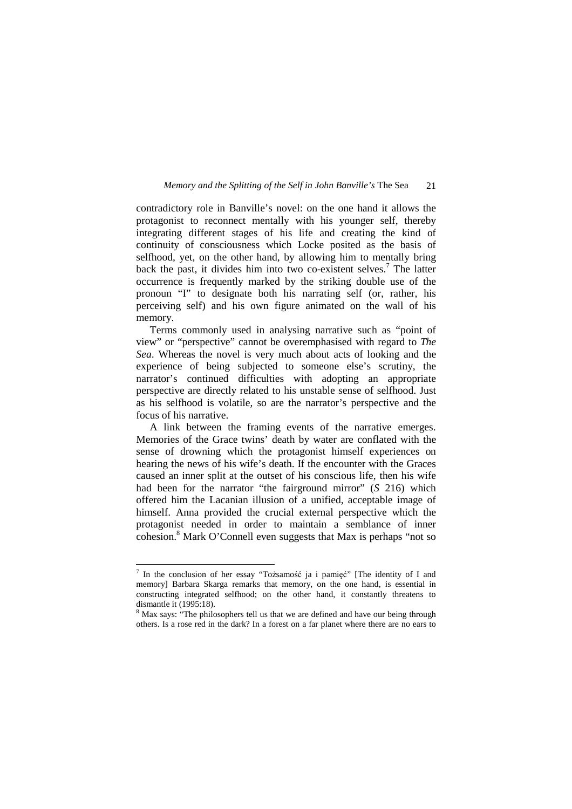contradictory role in Banville's novel: on the one hand it allows the protagonist to reconnect mentally with his younger self, thereby integrating different stages of his life and creating the kind of continuity of consciousness which Locke posited as the basis of selfhood, yet, on the other hand, by allowing him to mentally bring back the past, it divides him into two co-existent selves.<sup>7</sup> The latter occurrence is frequently marked by the striking double use of the pronoun "I" to designate both his narrating self (or, rather, his perceiving self) and his own figure animated on the wall of his memory.

 Terms commonly used in analysing narrative such as "point of view" or "perspective" cannot be overemphasised with regard to *The Sea*. Whereas the novel is very much about acts of looking and the experience of being subjected to someone else's scrutiny, the narrator's continued difficulties with adopting an appropriate perspective are directly related to his unstable sense of selfhood. Just as his selfhood is volatile, so are the narrator's perspective and the focus of his narrative.

 A link between the framing events of the narrative emerges. Memories of the Grace twins' death by water are conflated with the sense of drowning which the protagonist himself experiences on hearing the news of his wife's death. If the encounter with the Graces caused an inner split at the outset of his conscious life, then his wife had been for the narrator "the fairground mirror" (*S* 216) which offered him the Lacanian illusion of a unified, acceptable image of himself. Anna provided the crucial external perspective which the protagonist needed in order to maintain a semblance of inner cohesion.<sup>8</sup> Mark O'Connell even suggests that Max is perhaps "not so

 7 In the conclusion of her essay "Tożsamość ja i pamięć" [The identity of I and memory] Barbara Skarga remarks that memory, on the one hand, is essential in constructing integrated selfhood; on the other hand, it constantly threatens to dismantle it (1995:18).

<sup>&</sup>lt;sup>8</sup> Max says: "The philosophers tell us that we are defined and have our being through others. Is a rose red in the dark? In a forest on a far planet where there are no ears to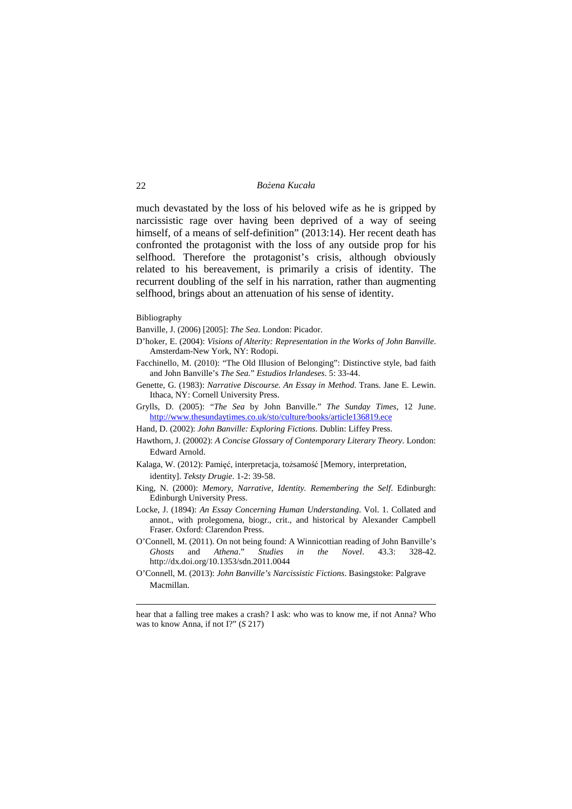much devastated by the loss of his beloved wife as he is gripped by narcissistic rage over having been deprived of a way of seeing himself, of a means of self-definition" (2013:14). Her recent death has confronted the protagonist with the loss of any outside prop for his selfhood. Therefore the protagonist's crisis, although obviously related to his bereavement, is primarily a crisis of identity. The recurrent doubling of the self in his narration, rather than augmenting selfhood, brings about an attenuation of his sense of identity.

Bibliography

<u>.</u>

Banville, J. (2006) [2005]: *The Sea*. London: Picador.

- D'hoker, E. (2004): *Visions of Alterity: Representation in the Works of John Banville*. Amsterdam-New York, NY: Rodopi.
- Facchinello, M. (2010): "The Old Illusion of Belonging": Distinctive style, bad faith and John Banville's *The Sea.*" *Estudios Irlandeses*. 5: 33-44.
- Genette, G. (1983): *Narrative Discourse. An Essay in Method*. Trans. Jane E. Lewin. Ithaca, NY: Cornell University Press.
- Grylls, D. (2005): "*The Sea* by John Banville." *The Sunday Times*, 12 June. http://www.thesundaytimes.co.uk/sto/culture/books/article136819.ece
- Hand, D. (2002): *John Banville: Exploring Fictions*. Dublin: Liffey Press.
- Hawthorn, J. (20002): *A Concise Glossary of Contemporary Literary Theory*. London: Edward Arnold.
- Kalaga, W. (2012): Pamięć, interpretacja, tożsamość [Memory, interpretation, identity]. *Teksty Drugie*. 1-2: 39-58.
- King, N. (2000): *Memory, Narrative, Identity. Remembering the Self*. Edinburgh: Edinburgh University Press.
- Locke, J. (1894): *An Essay Concerning Human Understanding*. Vol. 1. Collated and annot., with prolegomena, biogr., crit., and historical by Alexander Campbell Fraser. Oxford: Clarendon Press.
- O'Connell, M. (2011). On not being found: A Winnicottian reading of John Banville's *Ghosts* and *Athena*." *Studies in the Novel*. 43.3: 328-42. http://dx.doi.org/10.1353/sdn.2011.0044
- O'Connell, M. (2013): *John Banville's Narcissistic Fictions*. Basingstoke: Palgrave Macmillan.

hear that a falling tree makes a crash? I ask: who was to know me, if not Anna? Who was to know Anna, if not I?" (*S* 217)